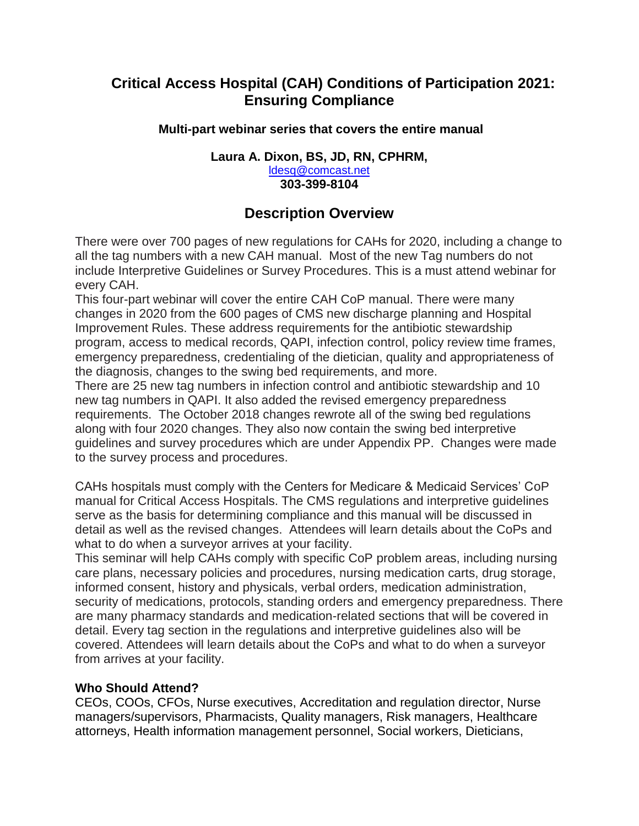# **Critical Access Hospital (CAH) Conditions of Participation 2021: Ensuring Compliance**

## **Multi-part webinar series that covers the entire manual**

#### **Laura A. Dixon, BS, JD, RN, CPHRM,**  [ldesq@comcast.net](mailto:ldesq@comcast.net) **303-399-8104**

# **Description Overview**

There were over 700 pages of new regulations for CAHs for 2020, including a change to all the tag numbers with a new CAH manual. Most of the new Tag numbers do not include Interpretive Guidelines or Survey Procedures. This is a must attend webinar for every CAH.

This four-part webinar will cover the entire CAH CoP manual. There were many changes in 2020 from the 600 pages of CMS new discharge planning and Hospital Improvement Rules. These address requirements for the antibiotic stewardship program, access to medical records, QAPI, infection control, policy review time frames, emergency preparedness, credentialing of the dietician, quality and appropriateness of the diagnosis, changes to the swing bed requirements, and more.

There are 25 new tag numbers in infection control and antibiotic stewardship and 10 new tag numbers in QAPI. It also added the revised emergency preparedness requirements. The October 2018 changes rewrote all of the swing bed regulations along with four 2020 changes. They also now contain the swing bed interpretive guidelines and survey procedures which are under Appendix PP. Changes were made to the survey process and procedures.

CAHs hospitals must comply with the Centers for Medicare & Medicaid Services' CoP manual for Critical Access Hospitals. The CMS regulations and interpretive guidelines serve as the basis for determining compliance and this manual will be discussed in detail as well as the revised changes. Attendees will learn details about the CoPs and what to do when a surveyor arrives at your facility.

This seminar will help CAHs comply with specific CoP problem areas, including nursing care plans, necessary policies and procedures, nursing medication carts, drug storage, informed consent, history and physicals, verbal orders, medication administration, security of medications, protocols, standing orders and emergency preparedness. There are many pharmacy standards and medication-related sections that will be covered in detail. Every tag section in the regulations and interpretive guidelines also will be covered. Attendees will learn details about the CoPs and what to do when a surveyor from arrives at your facility.

#### **Who Should Attend?**

CEOs, COOs, CFOs, Nurse executives, Accreditation and regulation director, Nurse managers/supervisors, Pharmacists, Quality managers, Risk managers, Healthcare attorneys, Health information management personnel, Social workers, Dieticians,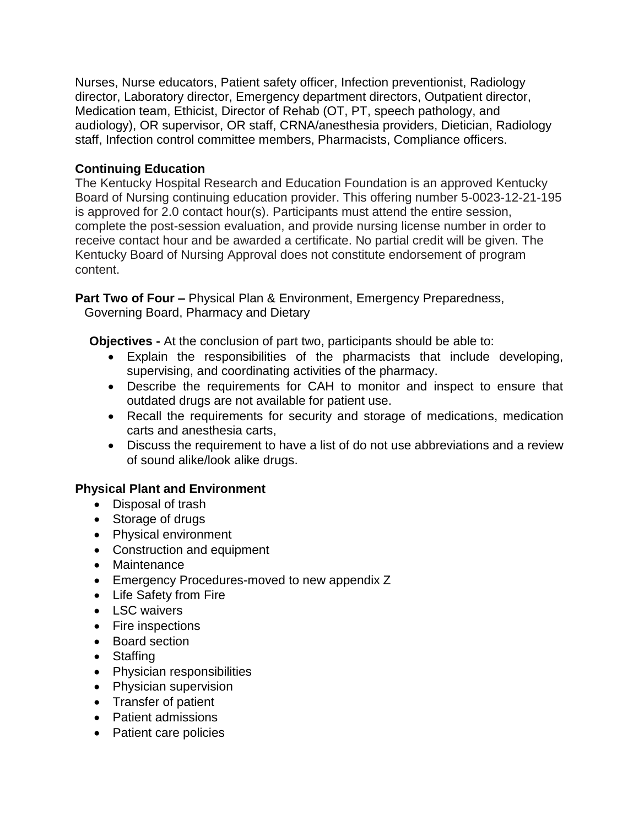Nurses, Nurse educators, Patient safety officer, Infection preventionist, Radiology director, Laboratory director, Emergency department directors, Outpatient director, Medication team, Ethicist, Director of Rehab (OT, PT, speech pathology, and audiology), OR supervisor, OR staff, CRNA/anesthesia providers, Dietician, Radiology staff, Infection control committee members, Pharmacists, Compliance officers.

## **Continuing Education**

The Kentucky Hospital Research and Education Foundation is an approved Kentucky Board of Nursing continuing education provider. This offering number 5-0023-12-21-195 is approved for 2.0 contact hour(s). Participants must attend the entire session, complete the post-session evaluation, and provide nursing license number in order to receive contact hour and be awarded a certificate. No partial credit will be given. The Kentucky Board of Nursing Approval does not constitute endorsement of program content.

**Part Two of Four –** Physical Plan & Environment, Emergency Preparedness, Governing Board, Pharmacy and Dietary

**Objectives -** At the conclusion of part two, participants should be able to:

- Explain the responsibilities of the pharmacists that include developing, supervising, and coordinating activities of the pharmacy.
- Describe the requirements for CAH to monitor and inspect to ensure that outdated drugs are not available for patient use.
- Recall the requirements for security and storage of medications, medication carts and anesthesia carts,
- Discuss the requirement to have a list of do not use abbreviations and a review of sound alike/look alike drugs.

# **Physical Plant and Environment**

- Disposal of trash
- Storage of drugs
- Physical environment
- Construction and equipment
- Maintenance
- **Emergency Procedures-moved to new appendix Z**
- Life Safety from Fire
- LSC waivers
- Fire inspections
- Board section
- Staffing
- Physician responsibilities
- Physician supervision
- Transfer of patient
- Patient admissions
- Patient care policies